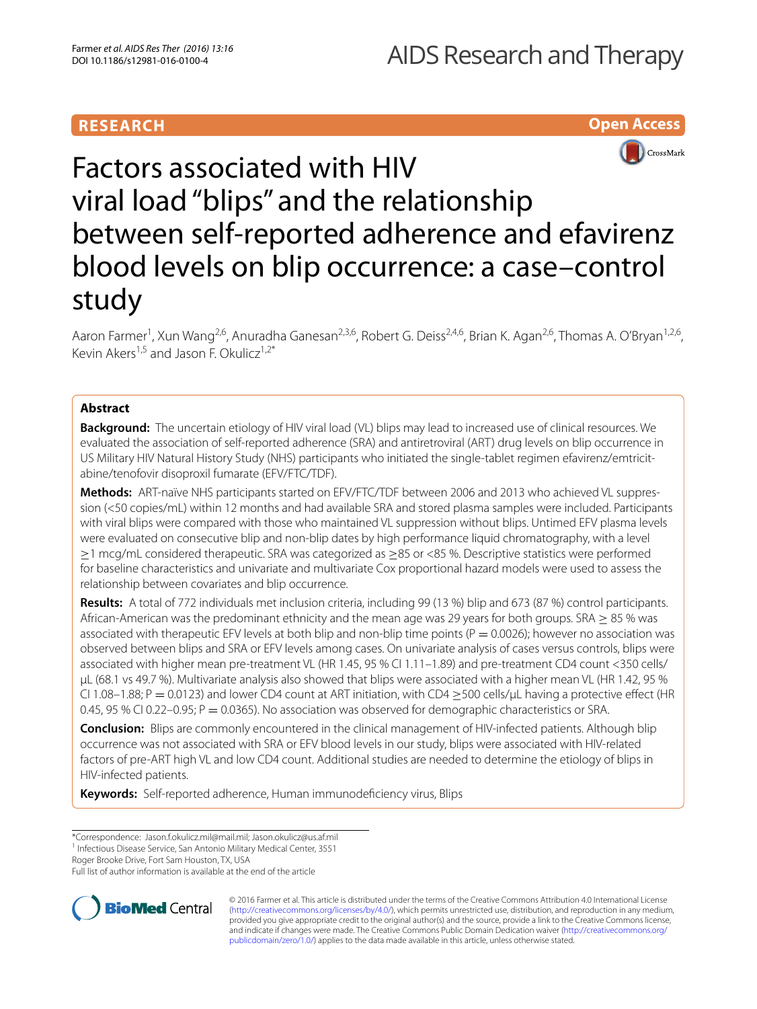## **Open Access**



# Factors associated with HIV viral load "blips" and the relationship between self-reported adherence and efavirenz blood levels on blip occurrence: a case–control study

Aaron Farmer<sup>1</sup>, Xun Wang<sup>2,6</sup>, Anuradha Ganesan<sup>2,3,6</sup>, Robert G. Deiss<sup>2,4,6</sup>, Brian K. Agan<sup>2,6</sup>, Thomas A. O'Bryan<sup>1,2,6</sup>, Kevin Akers<sup>1,5</sup> and Jason F. Okulicz<sup>1,2\*</sup>

## **Abstract**

**Background:** The uncertain etiology of HIV viral load (VL) blips may lead to increased use of clinical resources. We evaluated the association of self-reported adherence (SRA) and antiretroviral (ART) drug levels on blip occurrence in US Military HIV Natural History Study (NHS) participants who initiated the single-tablet regimen efavirenz/emtricitabine/tenofovir disoproxil fumarate (EFV/FTC/TDF).

**Methods:** ART-naïve NHS participants started on EFV/FTC/TDF between 2006 and 2013 who achieved VL suppression (<50 copies/mL) within 12 months and had available SRA and stored plasma samples were included. Participants with viral blips were compared with those who maintained VL suppression without blips. Untimed EFV plasma levels were evaluated on consecutive blip and non-blip dates by high performance liquid chromatography, with a level ≥1 mcg/mL considered therapeutic. SRA was categorized as ≥85 or <85 %. Descriptive statistics were performed for baseline characteristics and univariate and multivariate Cox proportional hazard models were used to assess the relationship between covariates and blip occurrence.

**Results:** A total of 772 individuals met inclusion criteria, including 99 (13 %) blip and 673 (87 %) control participants. African-American was the predominant ethnicity and the mean age was 29 years for both groups. SRA ≥ 85 % was associated with therapeutic EFV levels at both blip and non-blip time points ( $P = 0.0026$ ); however no association was observed between blips and SRA or EFV levels among cases. On univariate analysis of cases versus controls, blips were associated with higher mean pre-treatment VL (HR 1.45, 95 % CI 1.11–1.89) and pre-treatment CD4 count <350 cells/ µL (68.1 vs 49.7 %). Multivariate analysis also showed that blips were associated with a higher mean VL (HR 1.42, 95 % CI 1.08–1.88; P = 0.0123) and lower CD4 count at ART initiation, with CD4  $\geq$  500 cells/µL having a protective effect (HR 0.45, 95 % CI 0.22–0.95; P = 0.0365). No association was observed for demographic characteristics or SRA.

**Conclusion:** Blips are commonly encountered in the clinical management of HIV-infected patients. Although blip occurrence was not associated with SRA or EFV blood levels in our study, blips were associated with HIV-related factors of pre-ART high VL and low CD4 count. Additional studies are needed to determine the etiology of blips in HIV-infected patients.

**Keywords:** Self-reported adherence, Human immunodeficiency virus, Blips

\*Correspondence: Jason.f.okulicz.mil@mail.mil; Jason.okulicz@us.af.mil

Roger Brooke Drive, Fort Sam Houston, TX, USA

Full list of author information is available at the end of the article



© 2016 Farmer et al. This article is distributed under the terms of the Creative Commons Attribution 4.0 International License [\(http://creativecommons.org/licenses/by/4.0/\)](http://creativecommons.org/licenses/by/4.0/), which permits unrestricted use, distribution, and reproduction in any medium, provided you give appropriate credit to the original author(s) and the source, provide a link to the Creative Commons license, and indicate if changes were made. The Creative Commons Public Domain Dedication waiver ([http://creativecommons.org/](http://creativecommons.org/publicdomain/zero/1.0/) [publicdomain/zero/1.0/](http://creativecommons.org/publicdomain/zero/1.0/)) applies to the data made available in this article, unless otherwise stated.

<sup>&</sup>lt;sup>1</sup> Infectious Disease Service, San Antonio Military Medical Center, 3551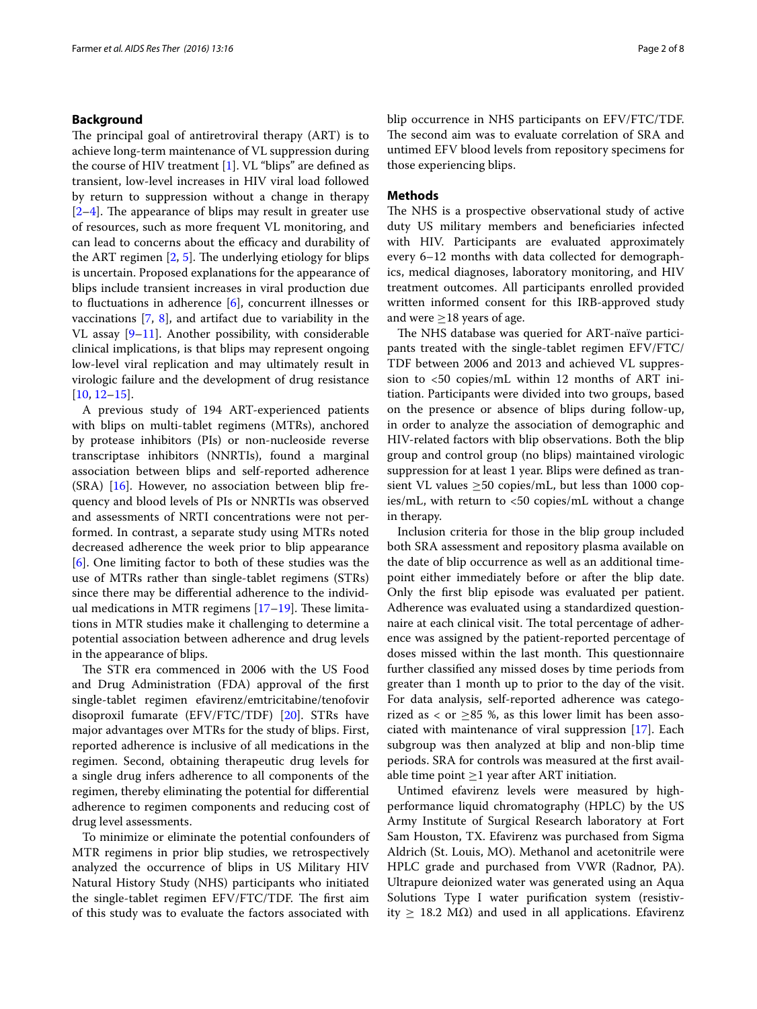## **Background**

The principal goal of antiretroviral therapy (ART) is to achieve long-term maintenance of VL suppression during the course of HIV treatment [[1\]](#page-6-0). VL "blips" are defined as transient, low-level increases in HIV viral load followed by return to suppression without a change in therapy [[2–](#page-6-1)[4\]](#page-6-2). The appearance of blips may result in greater use of resources, such as more frequent VL monitoring, and can lead to concerns about the efficacy and durability of the ART regimen [[2,](#page-6-1) [5\]](#page-6-3). The underlying etiology for blips is uncertain. Proposed explanations for the appearance of blips include transient increases in viral production due to fluctuations in adherence [\[6](#page-6-4)], concurrent illnesses or vaccinations [\[7](#page-6-5), [8\]](#page-6-6), and artifact due to variability in the VL assay [\[9](#page-6-7)[–11\]](#page-6-8). Another possibility, with considerable clinical implications, is that blips may represent ongoing low-level viral replication and may ultimately result in virologic failure and the development of drug resistance [[10,](#page-6-9) [12](#page-7-0)[–15\]](#page-7-1).

A previous study of 194 ART-experienced patients with blips on multi-tablet regimens (MTRs), anchored by protease inhibitors (PIs) or non-nucleoside reverse transcriptase inhibitors (NNRTIs), found a marginal association between blips and self-reported adherence (SRA) [\[16\]](#page-7-2). However, no association between blip frequency and blood levels of PIs or NNRTIs was observed and assessments of NRTI concentrations were not performed. In contrast, a separate study using MTRs noted decreased adherence the week prior to blip appearance [[6\]](#page-6-4). One limiting factor to both of these studies was the use of MTRs rather than single-tablet regimens (STRs) since there may be differential adherence to the individual medications in MTR regimens [\[17–](#page-7-3)[19\]](#page-7-4). These limitations in MTR studies make it challenging to determine a potential association between adherence and drug levels in the appearance of blips.

The STR era commenced in 2006 with the US Food and Drug Administration (FDA) approval of the first single-tablet regimen efavirenz/emtricitabine/tenofovir disoproxil fumarate (EFV/FTC/TDF) [[20\]](#page-7-5). STRs have major advantages over MTRs for the study of blips. First, reported adherence is inclusive of all medications in the regimen. Second, obtaining therapeutic drug levels for a single drug infers adherence to all components of the regimen, thereby eliminating the potential for differential adherence to regimen components and reducing cost of drug level assessments.

To minimize or eliminate the potential confounders of MTR regimens in prior blip studies, we retrospectively analyzed the occurrence of blips in US Military HIV Natural History Study (NHS) participants who initiated the single-tablet regimen EFV/FTC/TDF. The first aim of this study was to evaluate the factors associated with blip occurrence in NHS participants on EFV/FTC/TDF. The second aim was to evaluate correlation of SRA and untimed EFV blood levels from repository specimens for those experiencing blips.

## **Methods**

The NHS is a prospective observational study of active duty US military members and beneficiaries infected with HIV. Participants are evaluated approximately every 6–12 months with data collected for demographics, medical diagnoses, laboratory monitoring, and HIV treatment outcomes. All participants enrolled provided written informed consent for this IRB-approved study and were  $\geq$ 18 years of age.

The NHS database was queried for ART-naïve participants treated with the single-tablet regimen EFV/FTC/ TDF between 2006 and 2013 and achieved VL suppression to <50 copies/mL within 12 months of ART initiation. Participants were divided into two groups, based on the presence or absence of blips during follow-up, in order to analyze the association of demographic and HIV-related factors with blip observations. Both the blip group and control group (no blips) maintained virologic suppression for at least 1 year. Blips were defined as transient VL values  $\geq$ 50 copies/mL, but less than 1000 copies/mL, with return to <50 copies/mL without a change in therapy.

Inclusion criteria for those in the blip group included both SRA assessment and repository plasma available on the date of blip occurrence as well as an additional timepoint either immediately before or after the blip date. Only the first blip episode was evaluated per patient. Adherence was evaluated using a standardized questionnaire at each clinical visit. The total percentage of adherence was assigned by the patient-reported percentage of doses missed within the last month. This questionnaire further classified any missed doses by time periods from greater than 1 month up to prior to the day of the visit. For data analysis, self-reported adherence was categorized as < or  $\geq$ 85 %, as this lower limit has been associated with maintenance of viral suppression [[17\]](#page-7-3). Each subgroup was then analyzed at blip and non-blip time periods. SRA for controls was measured at the first available time point  $\geq$ 1 year after ART initiation.

Untimed efavirenz levels were measured by highperformance liquid chromatography (HPLC) by the US Army Institute of Surgical Research laboratory at Fort Sam Houston, TX. Efavirenz was purchased from Sigma Aldrich (St. Louis, MO). Methanol and acetonitrile were HPLC grade and purchased from VWR (Radnor, PA). Ultrapure deionized water was generated using an Aqua Solutions Type I water purification system (resistivity  $\geq$  18.2 MΩ) and used in all applications. Efavirenz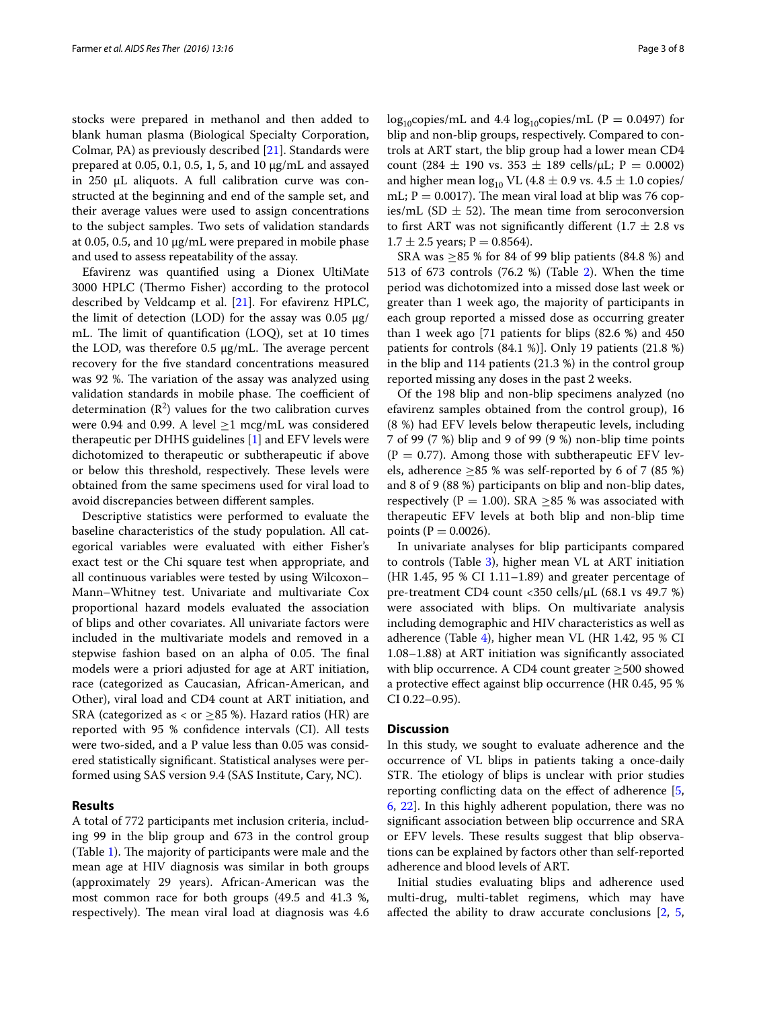stocks were prepared in methanol and then added to blank human plasma (Biological Specialty Corporation, Colmar, PA) as previously described [\[21\]](#page-7-6). Standards were prepared at 0.05, 0.1, 0.5, 1, 5, and 10 µg/mL and assayed in 250 µL aliquots. A full calibration curve was constructed at the beginning and end of the sample set, and their average values were used to assign concentrations to the subject samples. Two sets of validation standards at 0.05, 0.5, and 10 µg/mL were prepared in mobile phase and used to assess repeatability of the assay.

Efavirenz was quantified using a Dionex UltiMate 3000 HPLC (Thermo Fisher) according to the protocol described by Veldcamp et al. [\[21](#page-7-6)]. For efavirenz HPLC, the limit of detection (LOD) for the assay was  $0.05 \mu g$ / mL. The limit of quantification (LOQ), set at 10 times the LOD, was therefore 0.5 µg/mL. The average percent recovery for the five standard concentrations measured was 92 %. The variation of the assay was analyzed using validation standards in mobile phase. The coefficient of determination  $(R^2)$  values for the two calibration curves were 0.94 and 0.99. A level  $\geq$ 1 mcg/mL was considered therapeutic per DHHS guidelines [\[1](#page-6-0)] and EFV levels were dichotomized to therapeutic or subtherapeutic if above or below this threshold, respectively. These levels were obtained from the same specimens used for viral load to avoid discrepancies between different samples.

Descriptive statistics were performed to evaluate the baseline characteristics of the study population. All categorical variables were evaluated with either Fisher's exact test or the Chi square test when appropriate, and all continuous variables were tested by using Wilcoxon– Mann–Whitney test. Univariate and multivariate Cox proportional hazard models evaluated the association of blips and other covariates. All univariate factors were included in the multivariate models and removed in a stepwise fashion based on an alpha of 0.05. The final models were a priori adjusted for age at ART initiation, race (categorized as Caucasian, African-American, and Other), viral load and CD4 count at ART initiation, and SRA (categorized as < or  $\geq$ 85 %). Hazard ratios (HR) are reported with 95 % confidence intervals (CI). All tests were two-sided, and a P value less than 0.05 was considered statistically significant. Statistical analyses were performed using SAS version 9.4 (SAS Institute, Cary, NC).

## **Results**

A total of 772 participants met inclusion criteria, including 99 in the blip group and 673 in the control group (Table [1\)](#page-3-0). The majority of participants were male and the mean age at HIV diagnosis was similar in both groups (approximately 29 years). African-American was the most common race for both groups (49.5 and 41.3 %, respectively). The mean viral load at diagnosis was 4.6  $log_{10}$ copies/mL and 4.4  $log_{10}$ copies/mL (P = 0.0497) for blip and non-blip groups, respectively. Compared to controls at ART start, the blip group had a lower mean CD4 count (284  $\pm$  190 vs. 353  $\pm$  189 cells/ $\mu$ L; P = 0.0002) and higher mean  $log_{10}$  VL (4.8  $\pm$  0.9 vs. 4.5  $\pm$  1.0 copies/ mL;  $P = 0.0017$ ). The mean viral load at blip was 76 copies/mL (SD  $\pm$  52). The mean time from seroconversion to first ART was not significantly different (1.7  $\pm$  2.8 vs  $1.7 \pm 2.5$  years; P = 0.8564).

SRA was  $\geq$ 85 % for 84 of 99 blip patients (84.8 %) and 513 of 673 controls (76.2 %) (Table [2](#page-3-1)). When the time period was dichotomized into a missed dose last week or greater than 1 week ago, the majority of participants in each group reported a missed dose as occurring greater than 1 week ago [71 patients for blips (82.6 %) and 450 patients for controls (84.1 %)]. Only 19 patients (21.8 %) in the blip and 114 patients (21.3 %) in the control group reported missing any doses in the past 2 weeks.

Of the 198 blip and non-blip specimens analyzed (no efavirenz samples obtained from the control group), 16 (8 %) had EFV levels below therapeutic levels, including 7 of 99 (7 %) blip and 9 of 99 (9 %) non-blip time points  $(P = 0.77)$ . Among those with subtherapeutic EFV levels, adherence  $\geq$ 85 % was self-reported by 6 of 7 (85 %) and 8 of 9 (88 %) participants on blip and non-blip dates, respectively (P = 1.00). SRA  $\geq$ 85 % was associated with therapeutic EFV levels at both blip and non-blip time points ( $P = 0.0026$ ).

In univariate analyses for blip participants compared to controls (Table [3](#page-4-0)), higher mean VL at ART initiation (HR 1.45, 95 % CI 1.11–1.89) and greater percentage of pre-treatment CD4 count <350 cells/µL (68.1 vs 49.7 %) were associated with blips. On multivariate analysis including demographic and HIV characteristics as well as adherence (Table [4\)](#page-5-0), higher mean VL (HR 1.42, 95 % CI 1.08–1.88) at ART initiation was significantly associated with blip occurrence. A CD4 count greater ≥500 showed a protective effect against blip occurrence (HR 0.45, 95 % CI 0.22–0.95).

## **Discussion**

In this study, we sought to evaluate adherence and the occurrence of VL blips in patients taking a once-daily STR. The etiology of blips is unclear with prior studies reporting conflicting data on the effect of adherence [\[5](#page-6-3), [6,](#page-6-4) [22](#page-7-7)]. In this highly adherent population, there was no significant association between blip occurrence and SRA or EFV levels. These results suggest that blip observations can be explained by factors other than self-reported adherence and blood levels of ART.

Initial studies evaluating blips and adherence used multi-drug, multi-tablet regimens, which may have affected the ability to draw accurate conclusions [[2,](#page-6-1) [5](#page-6-3),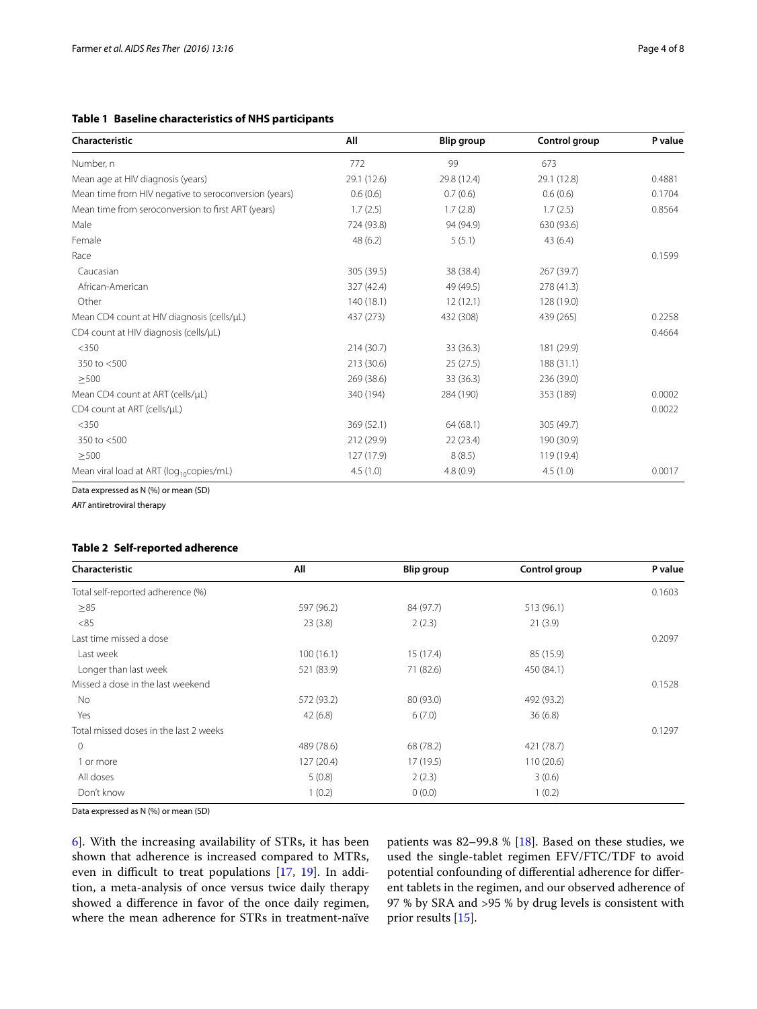## <span id="page-3-0"></span>**Table 1 Baseline characteristics of NHS participants**

| 99<br>29.1 (12.6)<br>29.8 (12.4) | 673<br>29.1 (12.8)                                                                                                                                                                                                             |                                                                                                                            |
|----------------------------------|--------------------------------------------------------------------------------------------------------------------------------------------------------------------------------------------------------------------------------|----------------------------------------------------------------------------------------------------------------------------|
|                                  |                                                                                                                                                                                                                                |                                                                                                                            |
|                                  |                                                                                                                                                                                                                                | 0.4881                                                                                                                     |
|                                  | 0.6(0.6)                                                                                                                                                                                                                       | 0.1704                                                                                                                     |
| 1.7(2.8)                         | 1.7(2.5)                                                                                                                                                                                                                       | 0.8564                                                                                                                     |
|                                  | 630 (93.6)                                                                                                                                                                                                                     |                                                                                                                            |
| 5(5.1)                           | 43 (6.4)                                                                                                                                                                                                                       |                                                                                                                            |
|                                  |                                                                                                                                                                                                                                | 0.1599                                                                                                                     |
|                                  | 267 (39.7)                                                                                                                                                                                                                     |                                                                                                                            |
|                                  | 278 (41.3)                                                                                                                                                                                                                     |                                                                                                                            |
|                                  | 128 (19.0)                                                                                                                                                                                                                     |                                                                                                                            |
| 432 (308)                        | 439 (265)                                                                                                                                                                                                                      | 0.2258                                                                                                                     |
|                                  |                                                                                                                                                                                                                                | 0.4664                                                                                                                     |
|                                  | 181 (29.9)                                                                                                                                                                                                                     |                                                                                                                            |
|                                  | 188 (31.1)                                                                                                                                                                                                                     |                                                                                                                            |
|                                  | 236 (39.0)                                                                                                                                                                                                                     |                                                                                                                            |
|                                  | 353 (189)                                                                                                                                                                                                                      | 0.0002                                                                                                                     |
|                                  |                                                                                                                                                                                                                                | 0.0022                                                                                                                     |
|                                  | 305 (49.7)                                                                                                                                                                                                                     |                                                                                                                            |
|                                  | 190 (30.9)                                                                                                                                                                                                                     |                                                                                                                            |
| 8(8.5)                           | 119 (19.4)                                                                                                                                                                                                                     |                                                                                                                            |
| 4.8(0.9)                         | 4.5(1.0)                                                                                                                                                                                                                       | 0.0017                                                                                                                     |
|                                  | 0.6(0.6)<br>0.7(0.6)<br>1.7(2.5)<br>724 (93.8)<br>48 (6.2)<br>305 (39.5)<br>327 (42.4)<br>140 (18.1)<br>437 (273)<br>214 (30.7)<br>213 (30.6)<br>269 (38.6)<br>340 (194)<br>369 (52.1)<br>212 (29.9)<br>127 (17.9)<br>4.5(1.0) | 94 (94.9)<br>38 (38.4)<br>49 (49.5)<br>12(12.1)<br>33 (36.3)<br>25(27.5)<br>33 (36.3)<br>284 (190)<br>64(68.1)<br>22(23.4) |

Data expressed as N (%) or mean (SD)

*ART* antiretroviral therapy

## <span id="page-3-1"></span>**Table 2 Self-reported adherence**

| Characteristic                         | All        | <b>Blip group</b> | Control group | P value |
|----------------------------------------|------------|-------------------|---------------|---------|
| Total self-reported adherence (%)      |            |                   |               | 0.1603  |
| $\geq 85$                              | 597 (96.2) | 84 (97.7)         | 513 (96.1)    |         |
| < 85                                   | 23(3.8)    | 2(2.3)            | 21(3.9)       |         |
| Last time missed a dose                |            |                   |               | 0.2097  |
| Last week                              | 100(16.1)  | 15(17.4)          | 85 (15.9)     |         |
| Longer than last week                  | 521 (83.9) | 71 (82.6)         | 450 (84.1)    |         |
| Missed a dose in the last weekend      |            |                   |               | 0.1528  |
| <b>No</b>                              | 572 (93.2) | 80 (93.0)         | 492 (93.2)    |         |
| Yes                                    | 42(6.8)    | 6(7.0)            | 36(6.8)       |         |
| Total missed doses in the last 2 weeks |            |                   |               | 0.1297  |
| 0                                      | 489 (78.6) | 68 (78.2)         | 421 (78.7)    |         |
| 1 or more                              | 127(20.4)  | 17 (19.5)         | 110(20.6)     |         |
| All doses                              | 5(0.8)     | 2(2.3)            | 3(0.6)        |         |
| Don't know                             | 1(0.2)     | 0(0.0)            | 1(0.2)        |         |

Data expressed as N (%) or mean (SD)

[6\]](#page-6-4). With the increasing availability of STRs, it has been shown that adherence is increased compared to MTRs, even in difficult to treat populations [\[17](#page-7-3), [19\]](#page-7-4). In addition, a meta-analysis of once versus twice daily therapy showed a difference in favor of the once daily regimen, where the mean adherence for STRs in treatment-naïve patients was 82–99.8 %  $[18]$  $[18]$ . Based on these studies, we used the single-tablet regimen EFV/FTC/TDF to avoid potential confounding of differential adherence for different tablets in the regimen, and our observed adherence of 97 % by SRA and >95 % by drug levels is consistent with prior results [\[15](#page-7-1)].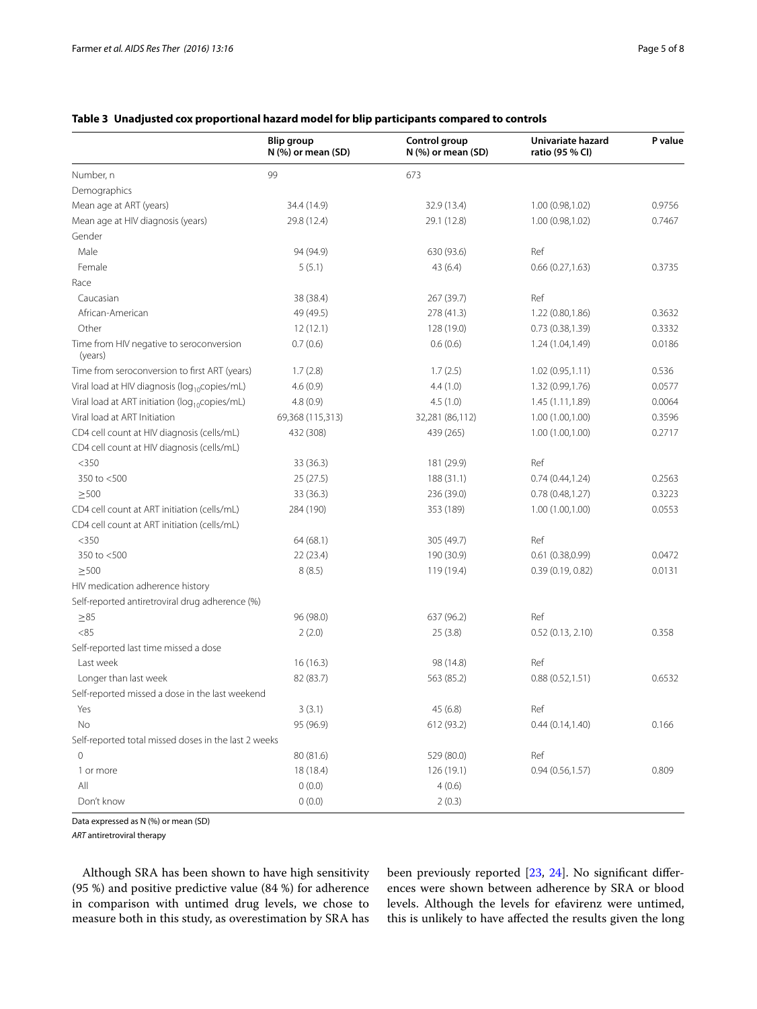## <span id="page-4-0"></span>**Table 3 Unadjusted cox proportional hazard model for blip participants compared to controls**

|                                                            | <b>Blip group</b><br>N (%) or mean (SD) | Control group<br>N (%) or mean (SD) | Univariate hazard<br>ratio (95 % CI) | P value |
|------------------------------------------------------------|-----------------------------------------|-------------------------------------|--------------------------------------|---------|
| Number, n                                                  | 99                                      | 673                                 |                                      |         |
| Demographics                                               |                                         |                                     |                                      |         |
| Mean age at ART (years)                                    | 34.4 (14.9)                             | 32.9 (13.4)                         | 1.00 (0.98,1.02)                     | 0.9756  |
| Mean age at HIV diagnosis (years)                          | 29.8 (12.4)                             | 29.1 (12.8)                         | 1.00 (0.98,1.02)                     | 0.7467  |
| Gender                                                     |                                         |                                     |                                      |         |
| Male                                                       | 94 (94.9)                               | 630 (93.6)                          | Ref                                  |         |
| Female                                                     | 5(5.1)                                  | 43(6.4)                             | 0.66(0.27,1.63)                      | 0.3735  |
| Race                                                       |                                         |                                     |                                      |         |
| Caucasian                                                  | 38 (38.4)                               | 267 (39.7)                          | Ref                                  |         |
| African-American                                           | 49 (49.5)                               | 278 (41.3)                          | 1.22 (0.80,1.86)                     | 0.3632  |
| Other                                                      | 12(12.1)                                | 128 (19.0)                          | 0.73(0.38, 1.39)                     | 0.3332  |
| Time from HIV negative to seroconversion<br>(years)        | 0.7(0.6)                                | 0.6(0.6)                            | 1.24 (1.04,1.49)                     | 0.0186  |
| Time from seroconversion to first ART (years)              | 1.7(2.8)                                | 1.7(2.5)                            | 1.02(0.95, 1.11)                     | 0.536   |
| Viral load at HIV diagnosis (log <sub>10</sub> copies/mL)  | 4.6(0.9)                                | 4.4(1.0)                            | 1.32 (0.99,1.76)                     | 0.0577  |
| Viral load at ART initiation (log <sub>10</sub> copies/mL) | 4.8(0.9)                                | 4.5(1.0)                            | 1.45 (1.11,1.89)                     | 0.0064  |
| Viral load at ART Initiation                               | 69,368 (115,313)                        | 32,281 (86,112)                     | 1.00 (1.00,1.00)                     | 0.3596  |
| CD4 cell count at HIV diagnosis (cells/mL)                 | 432 (308)                               | 439 (265)                           | 1.00 (1.00,1.00)                     | 0.2717  |
| CD4 cell count at HIV diagnosis (cells/mL)                 |                                         |                                     |                                      |         |
| $<$ 350                                                    | 33(36.3)                                | 181 (29.9)                          | Ref                                  |         |
| 350 to <500                                                | 25(27.5)                                | 188(31.1)                           | 0.74(0.44, 1.24)                     | 0.2563  |
| $\geq$ 500                                                 | 33 (36.3)                               | 236 (39.0)                          | 0.78(0.48, 1.27)                     | 0.3223  |
| CD4 cell count at ART initiation (cells/mL)                | 284 (190)                               | 353 (189)                           | 1.00 (1.00,1.00)                     | 0.0553  |
| CD4 cell count at ART initiation (cells/mL)                |                                         |                                     |                                      |         |
| $<$ 350                                                    | 64(68.1)                                | 305 (49.7)                          | Ref                                  |         |
| 350 to <500                                                | 22(23.4)                                | 190 (30.9)                          | 0.61(0.38,0.99)                      | 0.0472  |
| $\geq$ 500                                                 | 8(8.5)                                  | 119 (19.4)                          | 0.39(0.19, 0.82)                     | 0.0131  |
| HIV medication adherence history                           |                                         |                                     |                                      |         |
| Self-reported antiretroviral drug adherence (%)            |                                         |                                     |                                      |         |
| $\geq 85$                                                  | 96 (98.0)                               | 637 (96.2)                          | Ref                                  |         |
| <85                                                        | 2(2.0)                                  | 25(3.8)                             | 0.52(0.13, 2.10)                     | 0.358   |
| Self-reported last time missed a dose                      |                                         |                                     |                                      |         |
| Last week                                                  | 16(16.3)                                | 98 (14.8)                           | Ref                                  |         |
| Longer than last week                                      | 82 (83.7)                               | 563 (85.2)                          | 0.88(0.52, 1.51)                     | 0.6532  |
| Self-reported missed a dose in the last weekend            |                                         |                                     |                                      |         |
| Yes                                                        | 3(3.1)                                  | 45 (6.8)                            | Ref                                  |         |
| No                                                         | 95 (96.9)                               | 612 (93.2)                          | 0.44(0.14, 1.40)                     | 0.166   |
| Self-reported total missed doses in the last 2 weeks       |                                         |                                     |                                      |         |
| $\circ$                                                    | 80 (81.6)                               | 529 (80.0)                          | Ref                                  |         |
| 1 or more                                                  | 18 (18.4)                               | 126 (19.1)                          | 0.94(0.56, 1.57)                     | 0.809   |
| All                                                        | 0(0.0)                                  | 4(0.6)                              |                                      |         |
| Don't know                                                 | 0(0.0)                                  | 2(0.3)                              |                                      |         |

Data expressed as N (%) or mean (SD)

*ART* antiretroviral therapy

Although SRA has been shown to have high sensitivity (95 %) and positive predictive value (84 %) for adherence in comparison with untimed drug levels, we chose to measure both in this study, as overestimation by SRA has been previously reported [[23](#page-7-9), [24](#page-7-10)]. No significant differences were shown between adherence by SRA or blood levels. Although the levels for efavirenz were untimed, this is unlikely to have affected the results given the long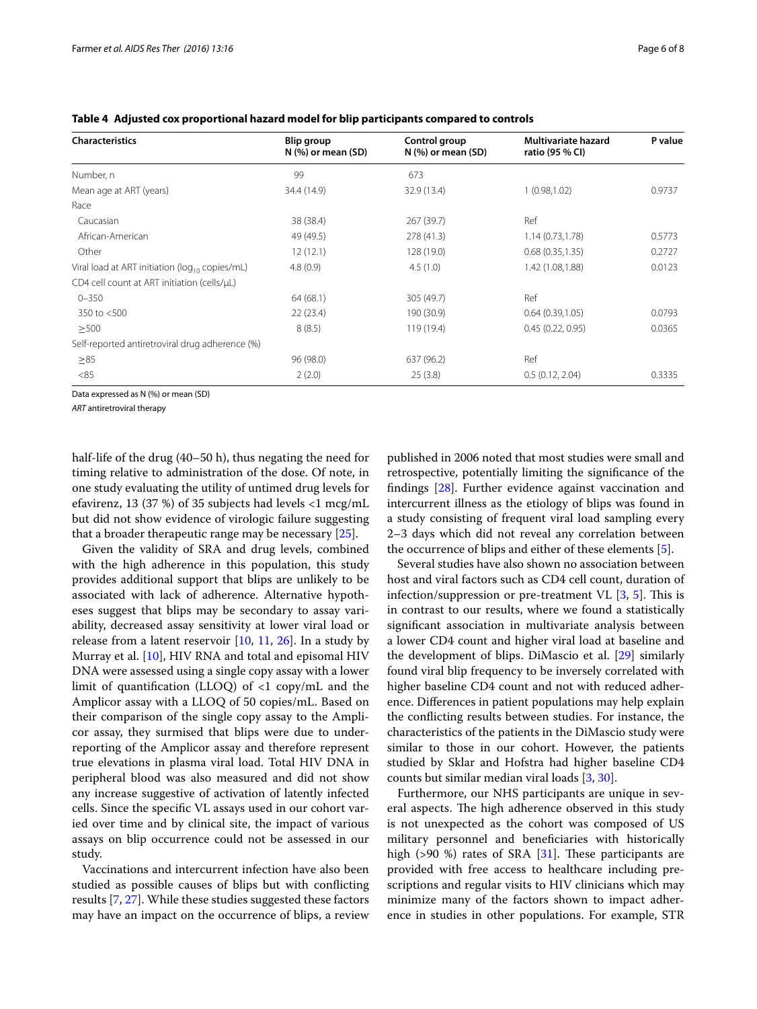| <b>Characteristics</b>                                     | Blip group<br>$N$ (%) or mean (SD) | Control group<br>$N$ (%) or mean (SD) | Multivariate hazard<br>ratio (95 % CI) | P value |
|------------------------------------------------------------|------------------------------------|---------------------------------------|----------------------------------------|---------|
| Number, n                                                  | 99                                 | 673                                   |                                        |         |
| Mean age at ART (years)                                    | 34.4 (14.9)                        | 32.9 (13.4)                           | 1(0.98, 1.02)                          | 0.9737  |
| Race                                                       |                                    |                                       |                                        |         |
| Caucasian                                                  | 38 (38.4)                          | 267 (39.7)                            | Ref                                    |         |
| African-American                                           | 49 (49.5)                          | 278(41.3)                             | 1.14 (0.73,1.78)                       | 0.5773  |
| Other                                                      | 12(12.1)                           | 128 (19.0)                            | 0.68(0.35, 1.35)                       | 0.2727  |
| Viral load at ART initiation (log <sub>10</sub> copies/mL) | 4.8(0.9)                           | 4.5(1.0)                              | 1.42 (1.08,1.88)                       | 0.0123  |
| CD4 cell count at ART initiation (cells/uL)                |                                    |                                       |                                        |         |
| $0 - 350$                                                  | 64(68.1)                           | 305 (49.7)                            | Ref                                    |         |
| 350 to <500                                                | 22(23.4)                           | 190 (30.9)                            | 0.64(0.39,1.05)                        | 0.0793  |
| >500                                                       | 8(8.5)                             | 119 (19.4)                            | 0.45(0.22, 0.95)                       | 0.0365  |
| Self-reported antiretroviral drug adherence (%)            |                                    |                                       |                                        |         |
| $\geq 85$                                                  | 96 (98.0)                          | 637 (96.2)                            | Ref                                    |         |
| < 85                                                       | 2(2.0)                             | 25(3.8)                               | 0.5(0.12, 2.04)                        | 0.3335  |

<span id="page-5-0"></span>**Table 4 Adjusted cox proportional hazard model for blip participants compared to controls**

Data expressed as N (%) or mean (SD)

*ART* antiretroviral therapy

half-life of the drug (40–50 h), thus negating the need for timing relative to administration of the dose. Of note, in one study evaluating the utility of untimed drug levels for efavirenz, 13 (37 %) of 35 subjects had levels  $\langle$ 1 mcg/mL but did not show evidence of virologic failure suggesting that a broader therapeutic range may be necessary [[25\]](#page-7-11).

Given the validity of SRA and drug levels, combined with the high adherence in this population, this study provides additional support that blips are unlikely to be associated with lack of adherence. Alternative hypotheses suggest that blips may be secondary to assay variability, decreased assay sensitivity at lower viral load or release from a latent reservoir  $[10, 11, 26]$  $[10, 11, 26]$  $[10, 11, 26]$  $[10, 11, 26]$  $[10, 11, 26]$  $[10, 11, 26]$ . In a study by Murray et al. [\[10](#page-6-9)], HIV RNA and total and episomal HIV DNA were assessed using a single copy assay with a lower limit of quantification (LLOQ) of <1 copy/mL and the Amplicor assay with a LLOQ of 50 copies/mL. Based on their comparison of the single copy assay to the Amplicor assay, they surmised that blips were due to underreporting of the Amplicor assay and therefore represent true elevations in plasma viral load. Total HIV DNA in peripheral blood was also measured and did not show any increase suggestive of activation of latently infected cells. Since the specific VL assays used in our cohort varied over time and by clinical site, the impact of various assays on blip occurrence could not be assessed in our study.

Vaccinations and intercurrent infection have also been studied as possible causes of blips but with conflicting results [\[7](#page-6-5), [27](#page-7-13)]. While these studies suggested these factors may have an impact on the occurrence of blips, a review published in 2006 noted that most studies were small and retrospective, potentially limiting the significance of the findings [[28\]](#page-7-14). Further evidence against vaccination and intercurrent illness as the etiology of blips was found in a study consisting of frequent viral load sampling every 2–3 days which did not reveal any correlation between the occurrence of blips and either of these elements [\[5](#page-6-3)].

Several studies have also shown no association between host and viral factors such as CD4 cell count, duration of infection/suppression or pre-treatment VL [[3,](#page-6-10) [5](#page-6-3)]. This is in contrast to our results, where we found a statistically significant association in multivariate analysis between a lower CD4 count and higher viral load at baseline and the development of blips. DiMascio et al. [[29\]](#page-7-15) similarly found viral blip frequency to be inversely correlated with higher baseline CD4 count and not with reduced adherence. Differences in patient populations may help explain the conflicting results between studies. For instance, the characteristics of the patients in the DiMascio study were similar to those in our cohort. However, the patients studied by Sklar and Hofstra had higher baseline CD4 counts but similar median viral loads [\[3,](#page-6-10) [30](#page-7-16)].

Furthermore, our NHS participants are unique in several aspects. The high adherence observed in this study is not unexpected as the cohort was composed of US military personnel and beneficiaries with historically high ( $>90$  %) rates of SRA [[31](#page-7-17)]. These participants are provided with free access to healthcare including prescriptions and regular visits to HIV clinicians which may minimize many of the factors shown to impact adherence in studies in other populations. For example, STR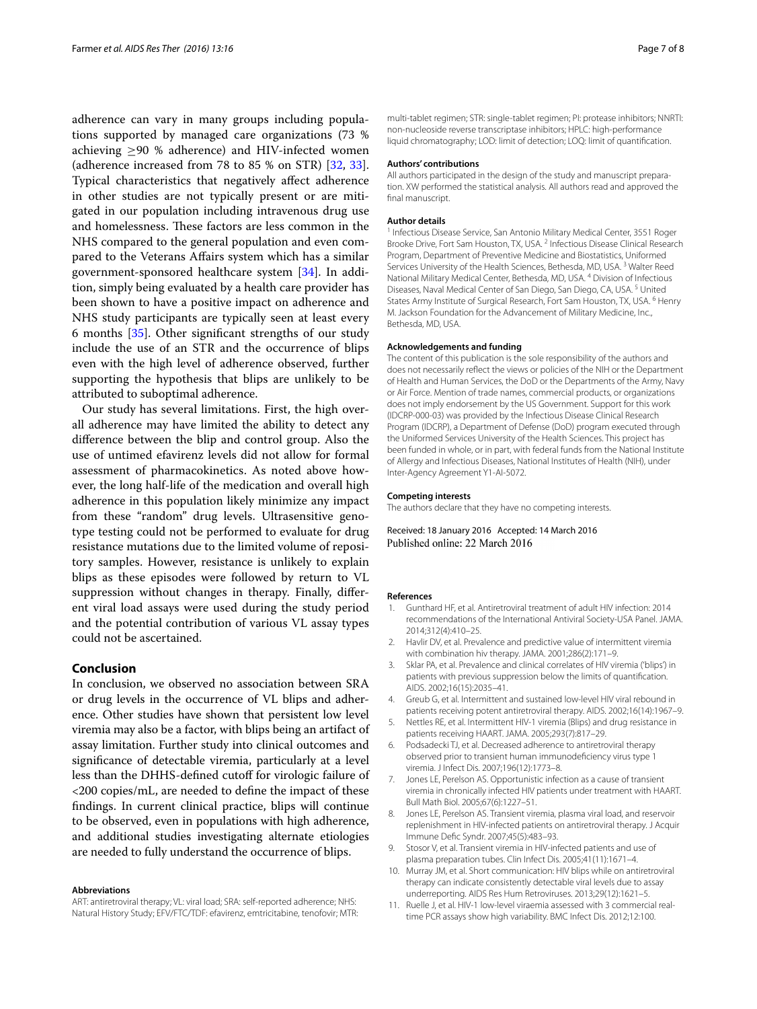adherence can vary in many groups including populations supported by managed care organizations (73 % achieving  $\geq$ 90 % adherence) and HIV-infected women (adherence increased from 78 to 85 % on STR) [[32,](#page-7-18) [33](#page-7-19)]. Typical characteristics that negatively affect adherence in other studies are not typically present or are mitigated in our population including intravenous drug use and homelessness. These factors are less common in the NHS compared to the general population and even compared to the Veterans Affairs system which has a similar government-sponsored healthcare system [[34](#page-7-20)]. In addition, simply being evaluated by a health care provider has been shown to have a positive impact on adherence and NHS study participants are typically seen at least every 6 months [\[35](#page-7-21)]. Other significant strengths of our study include the use of an STR and the occurrence of blips even with the high level of adherence observed, further supporting the hypothesis that blips are unlikely to be attributed to suboptimal adherence.

Our study has several limitations. First, the high overall adherence may have limited the ability to detect any difference between the blip and control group. Also the use of untimed efavirenz levels did not allow for formal assessment of pharmacokinetics. As noted above however, the long half-life of the medication and overall high adherence in this population likely minimize any impact from these "random" drug levels. Ultrasensitive genotype testing could not be performed to evaluate for drug resistance mutations due to the limited volume of repository samples. However, resistance is unlikely to explain blips as these episodes were followed by return to VL suppression without changes in therapy. Finally, different viral load assays were used during the study period and the potential contribution of various VL assay types could not be ascertained.

## **Conclusion**

In conclusion, we observed no association between SRA or drug levels in the occurrence of VL blips and adherence. Other studies have shown that persistent low level viremia may also be a factor, with blips being an artifact of assay limitation. Further study into clinical outcomes and significance of detectable viremia, particularly at a level less than the DHHS-defined cutoff for virologic failure of <200 copies/mL, are needed to define the impact of these findings. In current clinical practice, blips will continue to be observed, even in populations with high adherence, and additional studies investigating alternate etiologies are needed to fully understand the occurrence of blips.

## **Abbreviations**

ART: antiretroviral therapy; VL: viral load; SRA: self-reported adherence; NHS: Natural History Study; EFV/FTC/TDF: efavirenz, emtricitabine, tenofovir; MTR: multi-tablet regimen; STR: single-tablet regimen; PI: protease inhibitors; NNRTI: non-nucleoside reverse transcriptase inhibitors; HPLC: high-performance liquid chromatography; LOD: limit of detection; LOQ: limit of quantification.

## **Authors' contributions**

All authors participated in the design of the study and manuscript preparation. XW performed the statistical analysis. All authors read and approved the final manuscript.

## **Author details**

<sup>1</sup> Infectious Disease Service, San Antonio Military Medical Center, 3551 Roger Brooke Drive, Fort Sam Houston, TX, USA. <sup>2</sup> Infectious Disease Clinical Research Program, Department of Preventive Medicine and Biostatistics, Uniformed Services University of the Health Sciences, Bethesda, MD, USA.<sup>3</sup> Walter Reed National Military Medical Center, Bethesda, MD, USA. 4 Division of Infectious Diseases, Naval Medical Center of San Diego, San Diego, CA, USA.<sup>5</sup> United States Army Institute of Surgical Research, Fort Sam Houston, TX, USA. 6 Henry M. Jackson Foundation for the Advancement of Military Medicine, Inc., Bethesda, MD, USA.

## **Acknowledgements and funding**

The content of this publication is the sole responsibility of the authors and does not necessarily reflect the views or policies of the NIH or the Department of Health and Human Services, the DoD or the Departments of the Army, Navy or Air Force. Mention of trade names, commercial products, or organizations does not imply endorsement by the US Government. Support for this work (IDCRP-000-03) was provided by the Infectious Disease Clinical Research Program (IDCRP), a Department of Defense (DoD) program executed through the Uniformed Services University of the Health Sciences. This project has been funded in whole, or in part, with federal funds from the National Institute of Allergy and Infectious Diseases, National Institutes of Health (NIH), under Inter-Agency Agreement Y1-AI-5072.

#### **Competing interests**

The authors declare that they have no competing interests.

Received: 18 January 2016 Accepted: 14 March 2016 Published online: 22 March 2016

#### **References**

- <span id="page-6-0"></span>1. Gunthard HF, et al. Antiretroviral treatment of adult HIV infection: 2014 recommendations of the International Antiviral Society-USA Panel. JAMA. 2014;312(4):410–25.
- <span id="page-6-1"></span>2. Havlir DV, et al. Prevalence and predictive value of intermittent viremia with combination hiv therapy. JAMA. 2001;286(2):171–9.
- <span id="page-6-10"></span>3. Sklar PA, et al. Prevalence and clinical correlates of HIV viremia ('blips') in patients with previous suppression below the limits of quantification. AIDS. 2002;16(15):2035–41.
- <span id="page-6-2"></span>4. Greub G, et al. Intermittent and sustained low-level HIV viral rebound in patients receiving potent antiretroviral therapy. AIDS. 2002;16(14):1967–9.
- <span id="page-6-3"></span>5. Nettles RE, et al. Intermittent HIV-1 viremia (Blips) and drug resistance in patients receiving HAART. JAMA. 2005;293(7):817–29.
- <span id="page-6-4"></span>6. Podsadecki TJ, et al. Decreased adherence to antiretroviral therapy observed prior to transient human immunodeficiency virus type 1 viremia. J Infect Dis. 2007;196(12):1773–8.
- <span id="page-6-5"></span>7. Jones LE, Perelson AS. Opportunistic infection as a cause of transient viremia in chronically infected HIV patients under treatment with HAART. Bull Math Biol. 2005;67(6):1227–51.
- <span id="page-6-6"></span>8. Jones LE, Perelson AS. Transient viremia, plasma viral load, and reservoir replenishment in HIV-infected patients on antiretroviral therapy. J Acquir Immune Defic Syndr. 2007;45(5):483–93.
- <span id="page-6-7"></span>9. Stosor V, et al. Transient viremia in HIV-infected patients and use of plasma preparation tubes. Clin Infect Dis. 2005;41(11):1671–4.
- <span id="page-6-9"></span>10. Murray JM, et al. Short communication: HIV blips while on antiretroviral therapy can indicate consistently detectable viral levels due to assay underreporting. AIDS Res Hum Retroviruses. 2013;29(12):1621–5.
- <span id="page-6-8"></span>11. Ruelle J, et al. HIV-1 low-level viraemia assessed with 3 commercial realtime PCR assays show high variability. BMC Infect Dis. 2012;12:100.